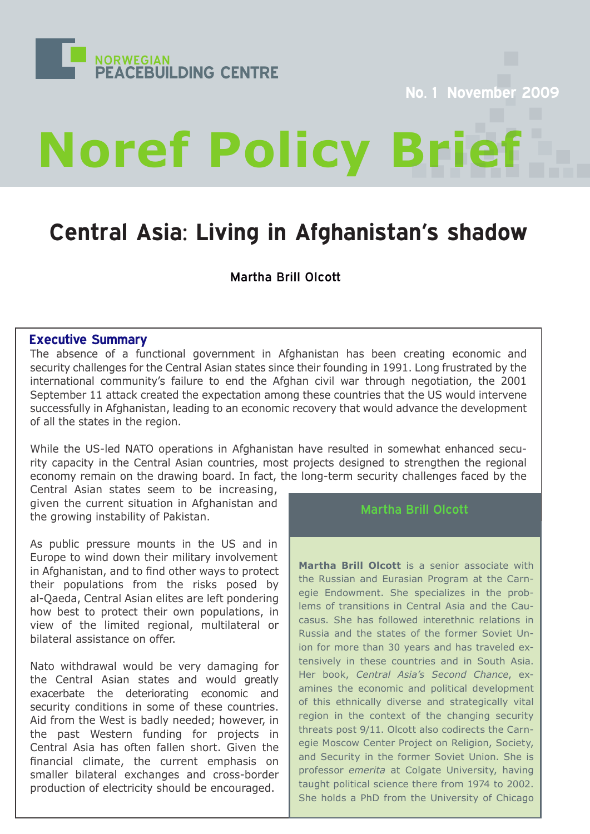

**No. 1 November 2009**

# **Noref Policy Br**

# **Central Asia: Living in Afghanistan's shadow**

Martha Brill Olcott

# **Executive Summary**

The absence of a functional government in Afghanistan has been creating economic and security challenges for the Central Asian states since their founding in 1991. Long frustrated by the international community's failure to end the Afghan civil war through negotiation, the 2001 September 11 attack created the expectation among these countries that the US would intervene successfully in Afghanistan, leading to an economic recovery that would advance the development of all the states in the region.

While the US-led NATO operations in Afghanistan have resulted in somewhat enhanced security capacity in the Central Asian countries, most projects designed to strengthen the regional economy remain on the drawing board. In fact, the long-term security challenges faced by the

Central Asian states seem to be increasing, given the current situation in Afghanistan and the growing instability of Pakistan.

As public pressure mounts in the US and in Europe to wind down their military involvement in Afghanistan, and to find other ways to protect their populations from the risks posed by al-Qaeda, Central Asian elites are left pondering how best to protect their own populations, in view of the limited regional, multilateral or bilateral assistance on offer.

Nato withdrawal would be very damaging for the Central Asian states and would greatly exacerbate the deteriorating economic and security conditions in some of these countries. Aid from the West is badly needed; however, in the past Western funding for projects in Central Asia has often fallen short. Given the financial climate, the current emphasis on smaller bilateral exchanges and cross-border production of electricity should be encouraged.

# Martha Brill Olcott

**Martha Brill Olcott** is a senior associate with the Russian and Eurasian Program at the Carnegie Endowment. She specializes in the problems of transitions in Central Asia and the Caucasus. She has followed interethnic relations in Russia and the states of the former Soviet Union for more than 30 years and has traveled extensively in these countries and in South Asia. Her book, *Central Asia's Second Chance*, examines the economic and political development of this ethnically diverse and strategically vital region in the context of the changing security threats post 9/11. Olcott also codirects the Carnegie Moscow Center Project on Religion, Society, and Security in the former Soviet Union. She is professor *emerita* at Colgate University, having taught political science there from 1974 to 2002. She holds a PhD from the University of Chicago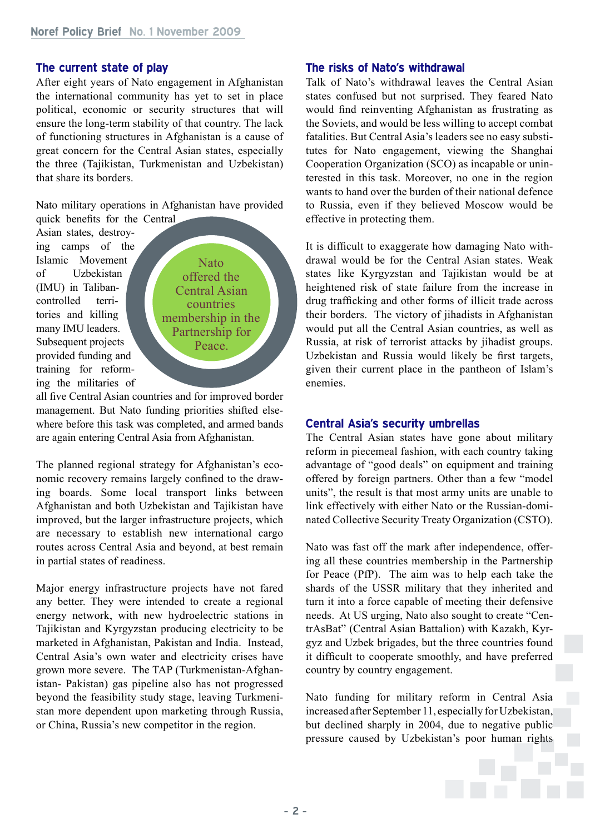#### **The current state of play**

After eight years of Nato engagement in Afghanistan the international community has yet to set in place political, economic or security structures that will ensure the long-term stability of that country. The lack of functioning structures in Afghanistan is a cause of great concern for the Central Asian states, especially the three (Tajikistan, Turkmenistan and Uzbekistan) that share its borders.

Nato military operations in Afghanistan have provided quick benefits for the Central

Asian states, destroying camps of the Islamic Movement of Uzbekistan (IMU) in Talibancontrolled territories and killing many IMU leaders. Subsequent projects provided funding and training for reforming the militaries of

Nato offered the Central Asian countries membership in the Partnership for Peace.

all five Central Asian countries and for improved border management. But Nato funding priorities shifted elsewhere before this task was completed, and armed bands are again entering Central Asia from Afghanistan.

The planned regional strategy for Afghanistan's economic recovery remains largely confined to the drawing boards. Some local transport links between Afghanistan and both Uzbekistan and Tajikistan have improved, but the larger infrastructure projects, which are necessary to establish new international cargo routes across Central Asia and beyond, at best remain in partial states of readiness.

Major energy infrastructure projects have not fared any better. They were intended to create a regional energy network, with new hydroelectric stations in Tajikistan and Kyrgyzstan producing electricity to be marketed in Afghanistan, Pakistan and India. Instead, Central Asia's own water and electricity crises have grown more severe. The TAP (Turkmenistan-Afghanistan- Pakistan) gas pipeline also has not progressed beyond the feasibility study stage, leaving Turkmenistan more dependent upon marketing through Russia, or China, Russia's new competitor in the region.

#### **The risks of Nato's withdrawal**

Talk of Nato's withdrawal leaves the Central Asian states confused but not surprised. They feared Nato would find reinventing Afghanistan as frustrating as the Soviets, and would be less willing to accept combat fatalities. But Central Asia's leaders see no easy substitutes for Nato engagement, viewing the Shanghai Cooperation Organization (SCO) as incapable or uninterested in this task. Moreover, no one in the region wants to hand over the burden of their national defence to Russia, even if they believed Moscow would be effective in protecting them.

It is difficult to exaggerate how damaging Nato withdrawal would be for the Central Asian states. Weak states like Kyrgyzstan and Tajikistan would be at heightened risk of state failure from the increase in drug trafficking and other forms of illicit trade across their borders. The victory of jihadists in Afghanistan would put all the Central Asian countries, as well as Russia, at risk of terrorist attacks by jihadist groups. Uzbekistan and Russia would likely be first targets, given their current place in the pantheon of Islam's enemies.

#### **Central Asia's security umbrellas**

The Central Asian states have gone about military reform in piecemeal fashion, with each country taking advantage of "good deals" on equipment and training offered by foreign partners. Other than a few "model units", the result is that most army units are unable to link effectively with either Nato or the Russian-dominated Collective Security Treaty Organization (CSTO).

Nato was fast off the mark after independence, offering all these countries membership in the Partnership for Peace (PfP). The aim was to help each take the shards of the USSR military that they inherited and turn it into a force capable of meeting their defensive needs. At US urging, Nato also sought to create "CentrAsBat" (Central Asian Battalion) with Kazakh, Kyrgyz and Uzbek brigades, but the three countries found it difficult to cooperate smoothly, and have preferred country by country engagement.

Nato funding for military reform in Central Asia increased after September 11, especially for Uzbekistan, but declined sharply in 2004, due to negative public pressure caused by Uzbekistan's poor human rights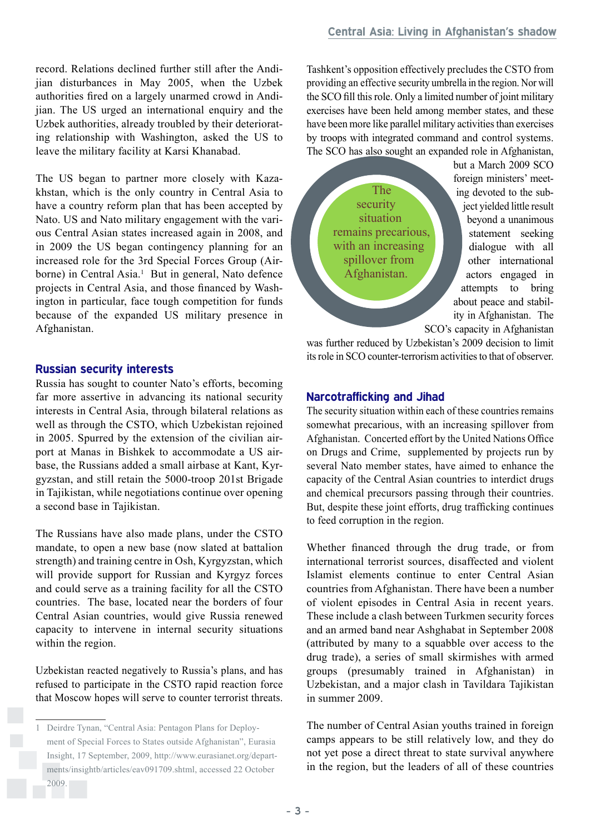record. Relations declined further still after the Andijian disturbances in May 2005, when the Uzbek authorities fired on a largely unarmed crowd in Andijian. The US urged an international enquiry and the Uzbek authorities, already troubled by their deteriorating relationship with Washington, asked the US to leave the military facility at Karsi Khanabad.

The US began to partner more closely with Kazakhstan, which is the only country in Central Asia to have a country reform plan that has been accepted by Nato. US and Nato military engagement with the various Central Asian states increased again in 2008, and in 2009 the US began contingency planning for an increased role for the 3rd Special Forces Group (Airborne) in Central Asia.<sup>1</sup> But in general, Nato defence projects in Central Asia, and those financed by Washington in particular, face tough competition for funds because of the expanded US military presence in Afghanistan.

# **Russian security interests**

Russia has sought to counter Nato's efforts, becoming far more assertive in advancing its national security interests in Central Asia, through bilateral relations as well as through the CSTO, which Uzbekistan rejoined in 2005. Spurred by the extension of the civilian airport at Manas in Bishkek to accommodate a US airbase, the Russians added a small airbase at Kant, Kyrgyzstan, and still retain the 5000-troop 201st Brigade in Tajikistan, while negotiations continue over opening a second base in Tajikistan.

The Russians have also made plans, under the CSTO mandate, to open a new base (now slated at battalion strength) and training centre in Osh, Kyrgyzstan, which will provide support for Russian and Kyrgyz forces and could serve as a training facility for all the CSTO countries. The base, located near the borders of four Central Asian countries, would give Russia renewed capacity to intervene in internal security situations within the region.

Uzbekistan reacted negatively to Russia's plans, and has refused to participate in the CSTO rapid reaction force that Moscow hopes will serve to counter terrorist threats. Tashkent's opposition effectively precludes the CSTO from providing an effective security umbrella in the region. Nor will the SCO fill this role. Only a limited number of joint military exercises have been held among member states, and these have been more like parallel military activities than exercises by troops with integrated command and control systems. The SCO has also sought an expanded role in Afghanistan,

The security situation remains precarious, with an increasing spillover from Afghanistan.

but a March 2009 SCO foreign ministers' meeting devoted to the subject yielded little result beyond a unanimous statement seeking dialogue with all other international actors engaged in attempts to bring about peace and stability in Afghanistan. The SCO's capacity in Afghanistan

was further reduced by Uzbekistan's 2009 decision to limit its role in SCO counter-terrorism activities to that of observer.

# **Narcotrafficking and Jihad**

The security situation within each of these countries remains somewhat precarious, with an increasing spillover from Afghanistan. Concerted effort by the United Nations Office on Drugs and Crime, supplemented by projects run by several Nato member states, have aimed to enhance the capacity of the Central Asian countries to interdict drugs and chemical precursors passing through their countries. But, despite these joint efforts, drug trafficking continues to feed corruption in the region.

Whether financed through the drug trade, or from international terrorist sources, disaffected and violent Islamist elements continue to enter Central Asian countries from Afghanistan. There have been a number of violent episodes in Central Asia in recent years. These include a clash between Turkmen security forces and an armed band near Ashghabat in September 2008 (attributed by many to a squabble over access to the drug trade), a series of small skirmishes with armed groups (presumably trained in Afghanistan) in Uzbekistan, and a major clash in Tavildara Tajikistan in summer 2009.

The number of Central Asian youths trained in foreign camps appears to be still relatively low, and they do not yet pose a direct threat to state survival anywhere in the region, but the leaders of all of these countries

<sup>1</sup> Deirdre Tynan, "Central Asia: Pentagon Plans for Deployment of Special Forces to States outside Afghanistan", Eurasia Insight, 17 September, 2009, http://www.eurasianet.org/departments/insightb/articles/eav091709.shtml, accessed 22 October 2009.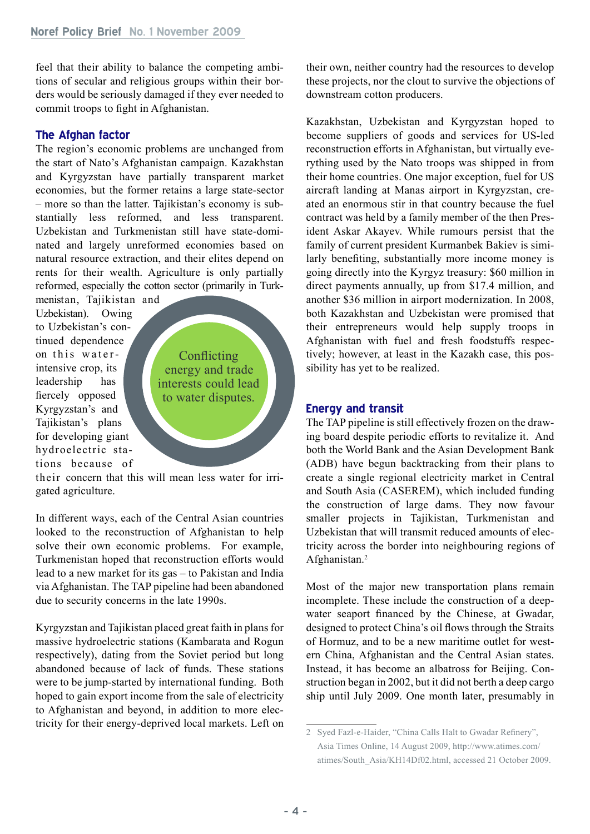feel that their ability to balance the competing ambitions of secular and religious groups within their borders would be seriously damaged if they ever needed to commit troops to fight in Afghanistan.

#### **The Afghan factor**

The region's economic problems are unchanged from the start of Nato's Afghanistan campaign. Kazakhstan and Kyrgyzstan have partially transparent market economies, but the former retains a large state-sector – more so than the latter. Tajikistan's economy is substantially less reformed, and less transparent. Uzbekistan and Turkmenistan still have state-dominated and largely unreformed economies based on natural resource extraction, and their elites depend on rents for their wealth. Agriculture is only partially reformed, especially the cotton sector (primarily in Turk-

menistan, Tajikistan and Uzbekistan). Owing to Uzbekistan's continued dependence on this waterintensive crop, its leadership has fiercely opposed Kyrgyzstan's and Tajikistan's plans for developing giant hydroelectric stations because of

**Conflicting** energy and trade interests could lead to water disputes.

their concern that this will mean less water for irrigated agriculture.

In different ways, each of the Central Asian countries looked to the reconstruction of Afghanistan to help solve their own economic problems. For example, Turkmenistan hoped that reconstruction efforts would lead to a new market for its gas – to Pakistan and India via Afghanistan. The TAP pipeline had been abandoned due to security concerns in the late 1990s.

Kyrgyzstan and Tajikistan placed great faith in plans for massive hydroelectric stations (Kambarata and Rogun respectively), dating from the Soviet period but long abandoned because of lack of funds. These stations were to be jump-started by international funding. Both hoped to gain export income from the sale of electricity to Afghanistan and beyond, in addition to more electricity for their energy-deprived local markets. Left on their own, neither country had the resources to develop these projects, nor the clout to survive the objections of downstream cotton producers.

Kazakhstan, Uzbekistan and Kyrgyzstan hoped to become suppliers of goods and services for US-led reconstruction efforts in Afghanistan, but virtually everything used by the Nato troops was shipped in from their home countries. One major exception, fuel for US aircraft landing at Manas airport in Kyrgyzstan, created an enormous stir in that country because the fuel contract was held by a family member of the then President Askar Akayev. While rumours persist that the family of current president Kurmanbek Bakiev is similarly benefiting, substantially more income money is going directly into the Kyrgyz treasury: \$60 million in direct payments annually, up from \$17.4 million, and another \$36 million in airport modernization. In 2008, both Kazakhstan and Uzbekistan were promised that their entrepreneurs would help supply troops in Afghanistan with fuel and fresh foodstuffs respectively; however, at least in the Kazakh case, this possibility has yet to be realized.

#### **Energy and transit**

The TAP pipeline is still effectively frozen on the drawing board despite periodic efforts to revitalize it. And both the World Bank and the Asian Development Bank (ADB) have begun backtracking from their plans to create a single regional electricity market in Central and South Asia (CASEREM), which included funding the construction of large dams. They now favour smaller projects in Tajikistan, Turkmenistan and Uzbekistan that will transmit reduced amounts of electricity across the border into neighbouring regions of Afghanistan.2

Most of the major new transportation plans remain incomplete. These include the construction of a deepwater seaport financed by the Chinese, at Gwadar, designed to protect China's oil flows through the Straits of Hormuz, and to be a new maritime outlet for western China, Afghanistan and the Central Asian states. Instead, it has become an albatross for Beijing. Construction began in 2002, but it did not berth a deep cargo ship until July 2009. One month later, presumably in

<sup>2</sup> Syed Fazl-e-Haider, "China Calls Halt to Gwadar Refinery", Asia Times Online, 14 August 2009, http://www.atimes.com/ atimes/South\_Asia/KH14Df02.html, accessed 21 October 2009.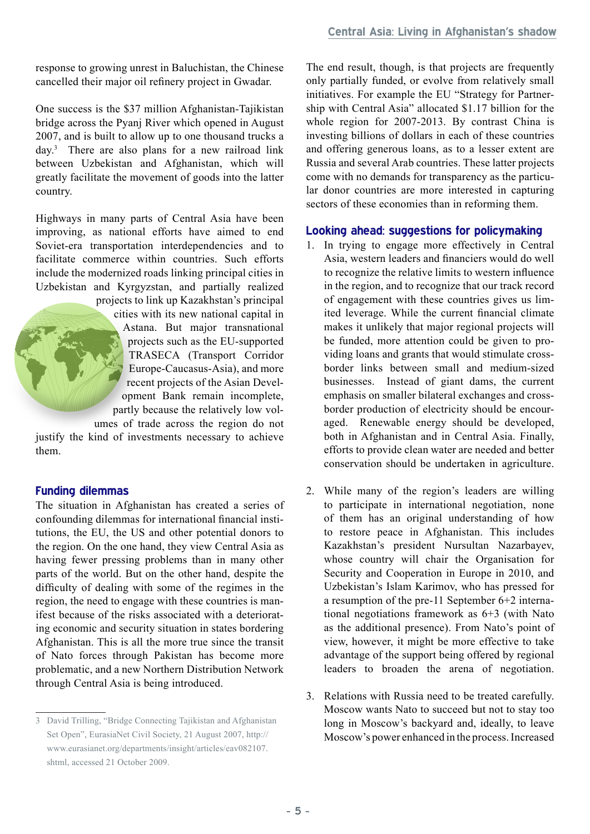response to growing unrest in Baluchistan, the Chinese cancelled their major oil refinery project in Gwadar.

One success is the \$37 million Afghanistan-Tajikistan bridge across the Pyanj River which opened in August 2007, and is built to allow up to one thousand trucks a day.3 There are also plans for a new railroad link between Uzbekistan and Afghanistan, which will greatly facilitate the movement of goods into the latter country.

Highways in many parts of Central Asia have been improving, as national efforts have aimed to end Soviet-era transportation interdependencies and to facilitate commerce within countries. Such efforts include the modernized roads linking principal cities in Uzbekistan and Kyrgyzstan, and partially realized

> projects to link up Kazakhstan's principal cities with its new national capital in Astana. But major transnational projects such as the EU-supported TRASECA (Transport Corridor Europe-Caucasus-Asia), and more recent projects of the Asian Development Bank remain incomplete, partly because the relatively low volumes of trade across the region do not

justify the kind of investments necessary to achieve them.

#### **Funding dilemmas**

The situation in Afghanistan has created a series of confounding dilemmas for international financial institutions, the EU, the US and other potential donors to the region. On the one hand, they view Central Asia as having fewer pressing problems than in many other parts of the world. But on the other hand, despite the difficulty of dealing with some of the regimes in the region, the need to engage with these countries is manifest because of the risks associated with a deteriorating economic and security situation in states bordering Afghanistan. This is all the more true since the transit of Nato forces through Pakistan has become more problematic, and a new Northern Distribution Network through Central Asia is being introduced.

The end result, though, is that projects are frequently only partially funded, or evolve from relatively small initiatives. For example the EU "Strategy for Partnership with Central Asia" allocated \$1.17 billion for the whole region for 2007-2013. By contrast China is investing billions of dollars in each of these countries and offering generous loans, as to a lesser extent are Russia and several Arab countries. These latter projects come with no demands for transparency as the particular donor countries are more interested in capturing sectors of these economies than in reforming them.

# **Looking ahead: suggestions for policymaking**

- 1. In trying to engage more effectively in Central Asia, western leaders and financiers would do well to recognize the relative limits to western influence in the region, and to recognize that our track record of engagement with these countries gives us limited leverage. While the current financial climate makes it unlikely that major regional projects will be funded, more attention could be given to providing loans and grants that would stimulate crossborder links between small and medium-sized businesses. Instead of giant dams, the current emphasis on smaller bilateral exchanges and crossborder production of electricity should be encouraged. Renewable energy should be developed, both in Afghanistan and in Central Asia. Finally, efforts to provide clean water are needed and better conservation should be undertaken in agriculture.
- 2. While many of the region's leaders are willing to participate in international negotiation, none of them has an original understanding of how to restore peace in Afghanistan. This includes Kazakhstan's president Nursultan Nazarbayev, whose country will chair the Organisation for Security and Cooperation in Europe in 2010, and Uzbekistan's Islam Karimov, who has pressed for a resumption of the pre-11 September 6+2 international negotiations framework as 6+3 (with Nato as the additional presence). From Nato's point of view, however, it might be more effective to take advantage of the support being offered by regional leaders to broaden the arena of negotiation.
- 3. Relations with Russia need to be treated carefully. Moscow wants Nato to succeed but not to stay too long in Moscow's backyard and, ideally, to leave Moscow's power enhanced in the process. Increased

<sup>3</sup> David Trilling, "Bridge Connecting Tajikistan and Afghanistan Set Open", EurasiaNet Civil Society, 21 August 2007, http:// www.eurasianet.org/departments/insight/articles/eav082107. shtml, accessed 21 October 2009.